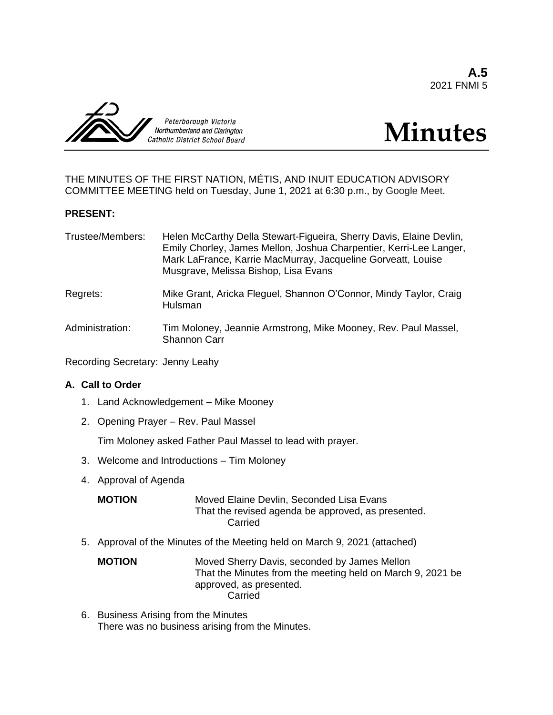**A.5** 2021 FNMI 5



# **Minutes**

THE MINUTES OF THE FIRST NATION, MÉTIS, AND INUIT EDUCATION ADVISORY COMMITTEE MEETING held on Tuesday, June 1, 2021 at 6:30 p.m., by Google Meet.

## **PRESENT:**

| Trustee/Members: | Helen McCarthy Della Stewart-Figueira, Sherry Davis, Elaine Devlin,<br>Emily Chorley, James Mellon, Joshua Charpentier, Kerri-Lee Langer,<br>Mark LaFrance, Karrie MacMurray, Jacqueline Gorveatt, Louise<br>Musgrave, Melissa Bishop, Lisa Evans |
|------------------|---------------------------------------------------------------------------------------------------------------------------------------------------------------------------------------------------------------------------------------------------|
| Regrets:         | Mike Grant, Aricka Fleguel, Shannon O'Connor, Mindy Taylor, Craig<br>Hulsman                                                                                                                                                                      |
| Administration:  | Tim Moloney, Jeannie Armstrong, Mike Mooney, Rev. Paul Massel,<br><b>Shannon Carr</b>                                                                                                                                                             |

Recording Secretary: Jenny Leahy

## **A. Call to Order**

- 1. Land Acknowledgement Mike Mooney
- 2. Opening Prayer Rev. Paul Massel

Tim Moloney asked Father Paul Massel to lead with prayer.

- 3. Welcome and Introductions Tim Moloney
- 4. Approval of Agenda

| MOTION | Moved Elaine Devlin, Seconded Lisa Evans           |
|--------|----------------------------------------------------|
|        | That the revised agenda be approved, as presented. |
|        | Carried                                            |

5. Approval of the Minutes of the Meeting held on March 9, 2021 (attached)

**MOTION** Moved Sherry Davis, seconded by James Mellon That the Minutes from the meeting held on March 9, 2021 be approved, as presented. Carried

6. Business Arising from the Minutes There was no business arising from the Minutes.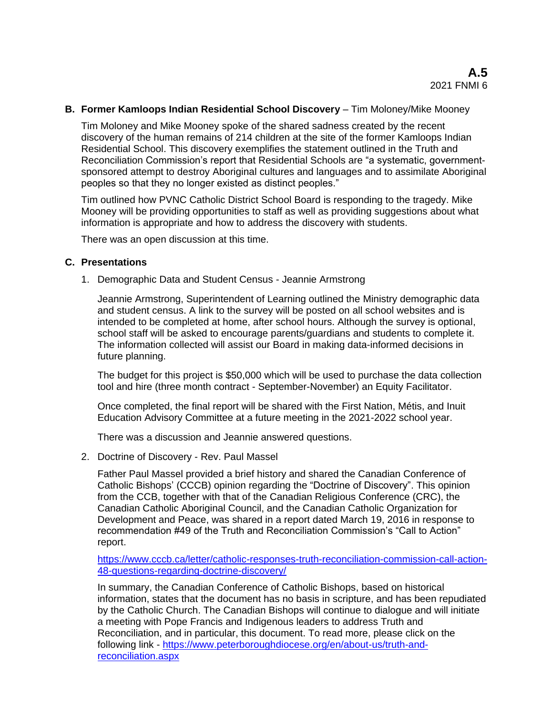### **B. Former Kamloops Indian Residential School Discovery** – Tim Moloney/Mike Mooney

Tim Moloney and Mike Mooney spoke of the shared sadness created by the recent discovery of the human remains of 214 children at the site of the former Kamloops Indian Residential School. This discovery exemplifies the statement outlined in the Truth and Reconciliation Commission's report that Residential Schools are "a systematic, governmentsponsored attempt to destroy Aboriginal cultures and languages and to assimilate Aboriginal peoples so that they no longer existed as distinct peoples."

Tim outlined how PVNC Catholic District School Board is responding to the tragedy. Mike Mooney will be providing opportunities to staff as well as providing suggestions about what information is appropriate and how to address the discovery with students.

There was an open discussion at this time.

## **C. Presentations**

1. Demographic Data and Student Census - Jeannie Armstrong

Jeannie Armstrong, Superintendent of Learning outlined the Ministry demographic data and student census. A link to the survey will be posted on all school websites and is intended to be completed at home, after school hours. Although the survey is optional, school staff will be asked to encourage parents/guardians and students to complete it. The information collected will assist our Board in making data-informed decisions in future planning.

The budget for this project is \$50,000 which will be used to purchase the data collection tool and hire (three month contract - September-November) an Equity Facilitator.

Once completed, the final report will be shared with the First Nation, Métis, and Inuit Education Advisory Committee at a future meeting in the 2021-2022 school year.

There was a discussion and Jeannie answered questions.

2. Doctrine of Discovery - Rev. Paul Massel

Father Paul Massel provided a brief history and shared the Canadian Conference of Catholic Bishops' (CCCB) opinion regarding the "Doctrine of Discovery". This opinion from the CCB, together with that of the Canadian Religious Conference (CRC), the Canadian Catholic Aboriginal Council, and the Canadian Catholic Organization for Development and Peace, was shared in a report dated March 19, 2016 in response to recommendation #49 of the Truth and Reconciliation Commission's "Call to Action" report.

[https://www.cccb.ca/letter/catholic-responses-truth-reconciliation-commission-call-action-](https://www.cccb.ca/letter/catholic-responses-truth-reconciliation-commission-call-action-48-questions-regarding-doctrine-discovery/)[48-questions-regarding-doctrine-discovery/](https://www.cccb.ca/letter/catholic-responses-truth-reconciliation-commission-call-action-48-questions-regarding-doctrine-discovery/)

In summary, the Canadian Conference of Catholic Bishops, based on historical information, states that the document has no basis in scripture, and has been repudiated by the Catholic Church. The Canadian Bishops will continue to dialogue and will initiate a meeting with Pope Francis and Indigenous leaders to address Truth and Reconciliation, and in particular, this document. To read more, please click on the following link - [https://www.peterboroughdiocese.org/en/about-us/truth-and](https://www.peterboroughdiocese.org/en/about-us/truth-and-reconciliation.aspx)[reconciliation.aspx](https://www.peterboroughdiocese.org/en/about-us/truth-and-reconciliation.aspx)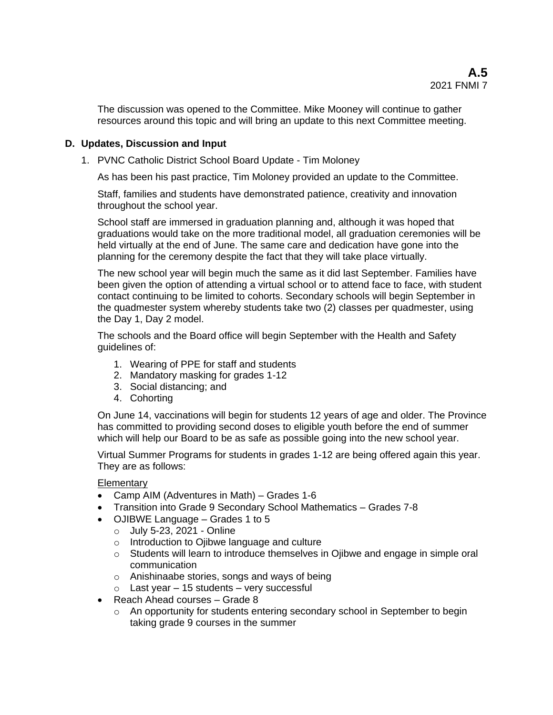The discussion was opened to the Committee. Mike Mooney will continue to gather resources around this topic and will bring an update to this next Committee meeting.

## **D. Updates, Discussion and Input**

1. PVNC Catholic District School Board Update - Tim Moloney

As has been his past practice, Tim Moloney provided an update to the Committee.

Staff, families and students have demonstrated patience, creativity and innovation throughout the school year.

School staff are immersed in graduation planning and, although it was hoped that graduations would take on the more traditional model, all graduation ceremonies will be held virtually at the end of June. The same care and dedication have gone into the planning for the ceremony despite the fact that they will take place virtually.

The new school year will begin much the same as it did last September. Families have been given the option of attending a virtual school or to attend face to face, with student contact continuing to be limited to cohorts. Secondary schools will begin September in the quadmester system whereby students take two (2) classes per quadmester, using the Day 1, Day 2 model.

The schools and the Board office will begin September with the Health and Safety guidelines of:

- 1. Wearing of PPE for staff and students
- 2. Mandatory masking for grades 1-12
- 3. Social distancing; and
- 4. Cohorting

On June 14, vaccinations will begin for students 12 years of age and older. The Province has committed to providing second doses to eligible youth before the end of summer which will help our Board to be as safe as possible going into the new school year.

Virtual Summer Programs for students in grades 1-12 are being offered again this year. They are as follows:

**Elementary** 

- Camp AIM (Adventures in Math) Grades 1-6
- Transition into Grade 9 Secondary School Mathematics Grades 7-8
- OJIBWE Language Grades 1 to 5
	- o July 5-23, 2021 Online
	- o Introduction to Ojibwe language and culture
	- o Students will learn to introduce themselves in Ojibwe and engage in simple oral communication
	- o Anishinaabe stories, songs and ways of being
	- $\circ$  Last year 15 students very successful
- Reach Ahead courses Grade 8
	- o An opportunity for students entering secondary school in September to begin taking grade 9 courses in the summer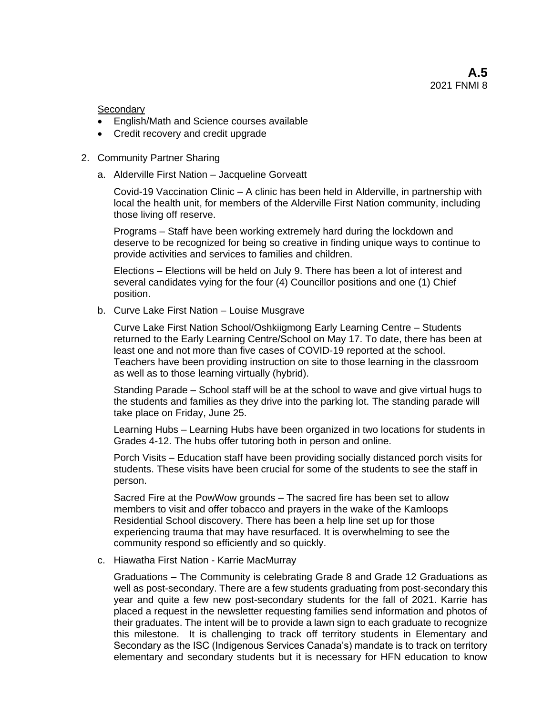**Secondarv** 

- English/Math and Science courses available
- Credit recovery and credit upgrade
- 2. Community Partner Sharing
	- a. Alderville First Nation Jacqueline Gorveatt

Covid-19 Vaccination Clinic – A clinic has been held in Alderville, in partnership with local the health unit, for members of the Alderville First Nation community, including those living off reserve.

Programs – Staff have been working extremely hard during the lockdown and deserve to be recognized for being so creative in finding unique ways to continue to provide activities and services to families and children.

Elections – Elections will be held on July 9. There has been a lot of interest and several candidates vying for the four (4) Councillor positions and one (1) Chief position.

b. Curve Lake First Nation – Louise Musgrave

Curve Lake First Nation School/Oshkiigmong Early Learning Centre – Students returned to the Early Learning Centre/School on May 17. To date, there has been at least one and not more than five cases of COVID-19 reported at the school. Teachers have been providing instruction on site to those learning in the classroom as well as to those learning virtually (hybrid).

Standing Parade – School staff will be at the school to wave and give virtual hugs to the students and families as they drive into the parking lot. The standing parade will take place on Friday, June 25.

Learning Hubs – Learning Hubs have been organized in two locations for students in Grades 4-12. The hubs offer tutoring both in person and online.

Porch Visits – Education staff have been providing socially distanced porch visits for students. These visits have been crucial for some of the students to see the staff in person.

Sacred Fire at the PowWow grounds – The sacred fire has been set to allow members to visit and offer tobacco and prayers in the wake of the Kamloops Residential School discovery. There has been a help line set up for those experiencing trauma that may have resurfaced. It is overwhelming to see the community respond so efficiently and so quickly.

c. Hiawatha First Nation - Karrie MacMurray

Graduations – The Community is celebrating Grade 8 and Grade 12 Graduations as well as post-secondary. There are a few students graduating from post-secondary this year and quite a few new post-secondary students for the fall of 2021. Karrie has placed a request in the newsletter requesting families send information and photos of their graduates. The intent will be to provide a lawn sign to each graduate to recognize this milestone. It is challenging to track off territory students in Elementary and Secondary as the ISC (Indigenous Services Canada's) mandate is to track on territory elementary and secondary students but it is necessary for HFN education to know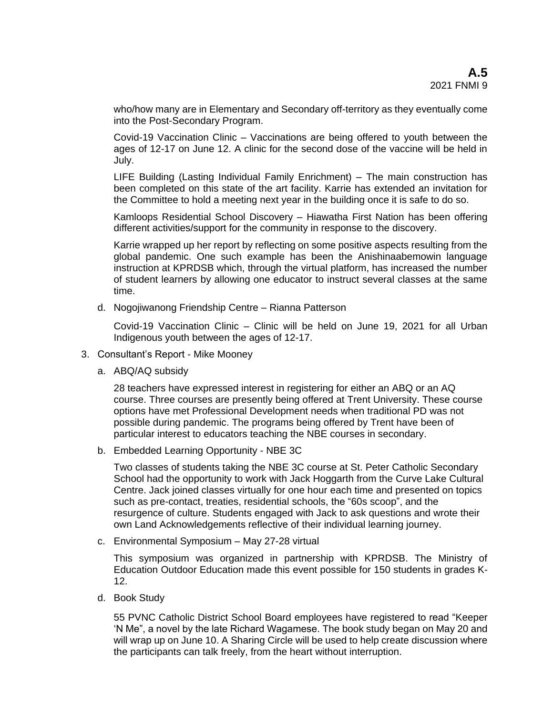who/how many are in Elementary and Secondary off-territory as they eventually come into the Post-Secondary Program.

Covid-19 Vaccination Clinic – Vaccinations are being offered to youth between the ages of 12-17 on June 12. A clinic for the second dose of the vaccine will be held in July.

LIFE Building (Lasting Individual Family Enrichment) – The main construction has been completed on this state of the art facility. Karrie has extended an invitation for the Committee to hold a meeting next year in the building once it is safe to do so.

Kamloops Residential School Discovery – Hiawatha First Nation has been offering different activities/support for the community in response to the discovery.

Karrie wrapped up her report by reflecting on some positive aspects resulting from the global pandemic. One such example has been the Anishinaabemowin language instruction at KPRDSB which, through the virtual platform, has increased the number of student learners by allowing one educator to instruct several classes at the same time.

d. Nogojiwanong Friendship Centre – Rianna Patterson

Covid-19 Vaccination Clinic – Clinic will be held on June 19, 2021 for all Urban Indigenous youth between the ages of 12-17.

- 3. Consultant's Report Mike Mooney
	- a. ABQ/AQ subsidy

28 teachers have expressed interest in registering for either an ABQ or an AQ course. Three courses are presently being offered at Trent University. These course options have met Professional Development needs when traditional PD was not possible during pandemic. The programs being offered by Trent have been of particular interest to educators teaching the NBE courses in secondary.

b. Embedded Learning Opportunity - NBE 3C

Two classes of students taking the NBE 3C course at St. Peter Catholic Secondary School had the opportunity to work with Jack Hoggarth from the Curve Lake Cultural Centre. Jack joined classes virtually for one hour each time and presented on topics such as pre-contact, treaties, residential schools, the "60s scoop", and the resurgence of culture. Students engaged with Jack to ask questions and wrote their own Land Acknowledgements reflective of their individual learning journey.

c. Environmental Symposium – May 27-28 virtual

This symposium was organized in partnership with KPRDSB. The Ministry of Education Outdoor Education made this event possible for 150 students in grades K-12.

d. Book Study

55 PVNC Catholic District School Board employees have registered to read "Keeper 'N Me", a novel by the late Richard Wagamese. The book study began on May 20 and will wrap up on June 10. A Sharing Circle will be used to help create discussion where the participants can talk freely, from the heart without interruption.